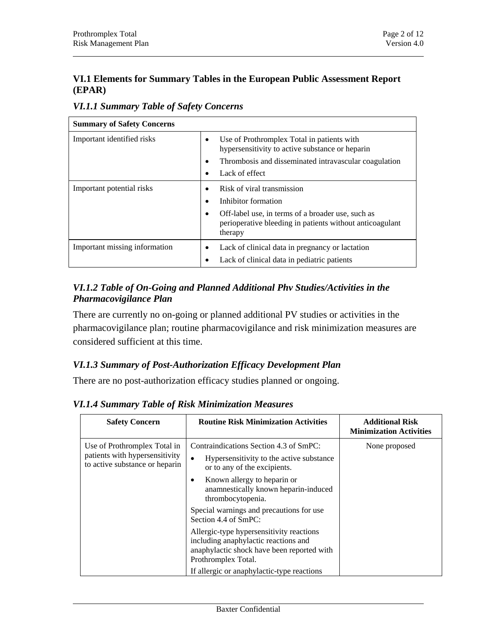#### **VI.1 Elements for Summary Tables in the European Public Assessment Report (EPAR)**

*VI.1.1 Summary Table of Safety Concerns* 

| <b>Summary of Safety Concerns</b> |                                                                                                                                  |  |  |  |
|-----------------------------------|----------------------------------------------------------------------------------------------------------------------------------|--|--|--|
| Important identified risks        | Use of Prothromplex Total in patients with<br>hypersensitivity to active substance or heparin                                    |  |  |  |
|                                   | Thrombosis and disseminated intravascular coagulation<br>$\bullet$                                                               |  |  |  |
|                                   | Lack of effect<br>$\bullet$                                                                                                      |  |  |  |
| Important potential risks         | Risk of viral transmission<br>Inhibitor formation<br>$\bullet$<br>Off-label use, in terms of a broader use, such as<br>$\bullet$ |  |  |  |
|                                   | perioperative bleeding in patients without anticoagulant<br>therapy                                                              |  |  |  |
| Important missing information     | Lack of clinical data in pregnancy or lactation<br>Lack of clinical data in pediatric patients                                   |  |  |  |

## *VI.1.2 Table of On-Going and Planned Additional Phv Studies/Activities in the Pharmacovigilance Plan*

There are currently no on-going or planned additional PV studies or activities in the pharmacovigilance plan; routine pharmacovigilance and risk minimization measures are considered sufficient at this time.

# *VI.1.3 Summary of Post-Authorization Efficacy Development Plan*

There are no post-authorization efficacy studies planned or ongoing.

**Safety Concern Routine Risk Minimization Activities Additional Risk Minimization Activities**  Use of Prothromplex Total in patients with hypersensitivity to active substance or heparin Contraindications Section 4.3 of SmPC: • Hypersensitivity to the active substance or to any of the excipients. • Known allergy to heparin or anamnestically known heparin-induced thrombocytopenia. Special warnings and precautions for use Section 4.4 of SmPC: Allergic-type hypersensitivity reactions including anaphylactic reactions and anaphylactic shock have been reported with Prothromplex Total. If allergic or anaphylactic-type reactions None proposed

*VI.1.4 Summary Table of Risk Minimization Measures*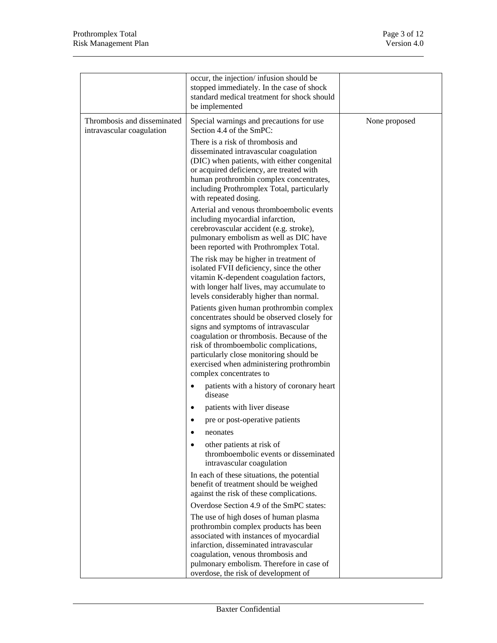|                                                          | occur, the injection/infusion should be<br>stopped immediately. In the case of shock<br>standard medical treatment for shock should<br>be implemented                                                                                                                                                                                  |               |
|----------------------------------------------------------|----------------------------------------------------------------------------------------------------------------------------------------------------------------------------------------------------------------------------------------------------------------------------------------------------------------------------------------|---------------|
| Thrombosis and disseminated<br>intravascular coagulation | Special warnings and precautions for use<br>Section 4.4 of the SmPC:                                                                                                                                                                                                                                                                   | None proposed |
|                                                          | There is a risk of thrombosis and<br>disseminated intravascular coagulation<br>(DIC) when patients, with either congenital<br>or acquired deficiency, are treated with<br>human prothrombin complex concentrates,<br>including Prothromplex Total, particularly<br>with repeated dosing.                                               |               |
|                                                          | Arterial and venous thromboembolic events<br>including myocardial infarction,<br>cerebrovascular accident (e.g. stroke),<br>pulmonary embolism as well as DIC have<br>been reported with Prothromplex Total.                                                                                                                           |               |
|                                                          | The risk may be higher in treatment of<br>isolated FVII deficiency, since the other<br>vitamin K-dependent coagulation factors,<br>with longer half lives, may accumulate to<br>levels considerably higher than normal.                                                                                                                |               |
|                                                          | Patients given human prothrombin complex<br>concentrates should be observed closely for<br>signs and symptoms of intravascular<br>coagulation or thrombosis. Because of the<br>risk of thromboembolic complications,<br>particularly close monitoring should be<br>exercised when administering prothrombin<br>complex concentrates to |               |
|                                                          | patients with a history of coronary heart<br>disease                                                                                                                                                                                                                                                                                   |               |
|                                                          | patients with liver disease<br>$\bullet$                                                                                                                                                                                                                                                                                               |               |
|                                                          | pre or post-operative patients                                                                                                                                                                                                                                                                                                         |               |
|                                                          | neonates                                                                                                                                                                                                                                                                                                                               |               |
|                                                          | other patients at risk of<br>thromboembolic events or disseminated<br>intravascular coagulation                                                                                                                                                                                                                                        |               |
|                                                          | In each of these situations, the potential<br>benefit of treatment should be weighed<br>against the risk of these complications.                                                                                                                                                                                                       |               |
|                                                          | Overdose Section 4.9 of the SmPC states:                                                                                                                                                                                                                                                                                               |               |
|                                                          | The use of high doses of human plasma<br>prothrombin complex products has been<br>associated with instances of myocardial<br>infarction, disseminated intravascular                                                                                                                                                                    |               |
|                                                          | coagulation, venous thrombosis and<br>pulmonary embolism. Therefore in case of                                                                                                                                                                                                                                                         |               |
|                                                          | overdose, the risk of development of                                                                                                                                                                                                                                                                                                   |               |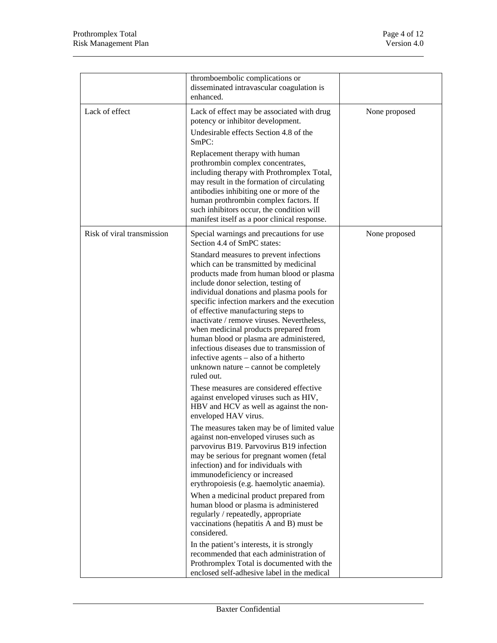|                            | thromboembolic complications or<br>disseminated intravascular coagulation is<br>enhanced.                                                                                                                                                                                                                                                                                                                                                                                                                                                                                                                                                                                                                                                                                                                                  |               |
|----------------------------|----------------------------------------------------------------------------------------------------------------------------------------------------------------------------------------------------------------------------------------------------------------------------------------------------------------------------------------------------------------------------------------------------------------------------------------------------------------------------------------------------------------------------------------------------------------------------------------------------------------------------------------------------------------------------------------------------------------------------------------------------------------------------------------------------------------------------|---------------|
| Lack of effect             | Lack of effect may be associated with drug<br>potency or inhibitor development.<br>Undesirable effects Section 4.8 of the<br>SmPC:<br>Replacement therapy with human<br>prothrombin complex concentrates,                                                                                                                                                                                                                                                                                                                                                                                                                                                                                                                                                                                                                  | None proposed |
|                            | including therapy with Prothromplex Total,<br>may result in the formation of circulating<br>antibodies inhibiting one or more of the<br>human prothrombin complex factors. If<br>such inhibitors occur, the condition will<br>manifest itself as a poor clinical response.                                                                                                                                                                                                                                                                                                                                                                                                                                                                                                                                                 |               |
| Risk of viral transmission | Special warnings and precautions for use<br>Section 4.4 of SmPC states:<br>Standard measures to prevent infections<br>which can be transmitted by medicinal<br>products made from human blood or plasma<br>include donor selection, testing of<br>individual donations and plasma pools for<br>specific infection markers and the execution<br>of effective manufacturing steps to<br>inactivate / remove viruses. Nevertheless,<br>when medicinal products prepared from<br>human blood or plasma are administered,<br>infectious diseases due to transmission of<br>infective agents – also of a hitherto<br>unknown nature – cannot be completely<br>ruled out.<br>These measures are considered effective<br>against enveloped viruses such as HIV,<br>HBV and HCV as well as against the non-<br>enveloped HAV virus. | None proposed |
|                            | The measures taken may be of limited value<br>against non-enveloped viruses such as<br>parvovirus B19. Parvovirus B19 infection<br>may be serious for pregnant women (fetal<br>infection) and for individuals with<br>immunodeficiency or increased<br>erythropoiesis (e.g. haemolytic anaemia).<br>When a medicinal product prepared from<br>human blood or plasma is administered<br>regularly / repeatedly, appropriate<br>vaccinations (hepatitis A and B) must be<br>considered.<br>In the patient's interests, it is strongly<br>recommended that each administration of<br>Prothromplex Total is documented with the<br>enclosed self-adhesive label in the medical                                                                                                                                                 |               |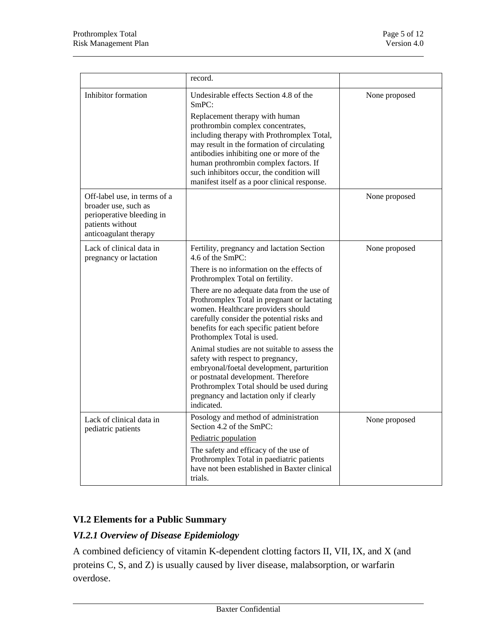|                                                                                                                                | record.                                                                                                                                                                                                                                                                                                                                                                                                                                                                                                                                                                                                                                                                                    |               |
|--------------------------------------------------------------------------------------------------------------------------------|--------------------------------------------------------------------------------------------------------------------------------------------------------------------------------------------------------------------------------------------------------------------------------------------------------------------------------------------------------------------------------------------------------------------------------------------------------------------------------------------------------------------------------------------------------------------------------------------------------------------------------------------------------------------------------------------|---------------|
| Inhibitor formation                                                                                                            | Undesirable effects Section 4.8 of the<br>SmPC:<br>Replacement therapy with human<br>prothrombin complex concentrates,<br>including therapy with Prothromplex Total,<br>may result in the formation of circulating<br>antibodies inhibiting one or more of the<br>human prothrombin complex factors. If<br>such inhibitors occur, the condition will<br>manifest itself as a poor clinical response.                                                                                                                                                                                                                                                                                       | None proposed |
| Off-label use, in terms of a<br>broader use, such as<br>perioperative bleeding in<br>patients without<br>anticoagulant therapy |                                                                                                                                                                                                                                                                                                                                                                                                                                                                                                                                                                                                                                                                                            | None proposed |
| Lack of clinical data in<br>pregnancy or lactation                                                                             | Fertility, pregnancy and lactation Section<br>4.6 of the SmPC:<br>There is no information on the effects of<br>Prothromplex Total on fertility.<br>There are no adequate data from the use of<br>Prothromplex Total in pregnant or lactating<br>women. Healthcare providers should<br>carefully consider the potential risks and<br>benefits for each specific patient before<br>Prothomplex Total is used.<br>Animal studies are not suitable to assess the<br>safety with respect to pregnancy,<br>embryonal/foetal development, parturition<br>or postnatal development. Therefore<br>Prothromplex Total should be used during<br>pregnancy and lactation only if clearly<br>indicated. | None proposed |
| Lack of clinical data in<br>pediatric patients                                                                                 | Posology and method of administration<br>Section 4.2 of the SmPC:<br>Pediatric population<br>The safety and efficacy of the use of<br>Prothromplex Total in paediatric patients<br>have not been established in Baxter clinical<br>trials.                                                                                                                                                                                                                                                                                                                                                                                                                                                 | None proposed |

# **VI.2 Elements for a Public Summary**

# *VI.2.1 Overview of Disease Epidemiology*

A combined deficiency of vitamin K-dependent clotting factors II, VII, IX, and X (and proteins C, S, and Z) is usually caused by liver disease, malabsorption, or warfarin overdose.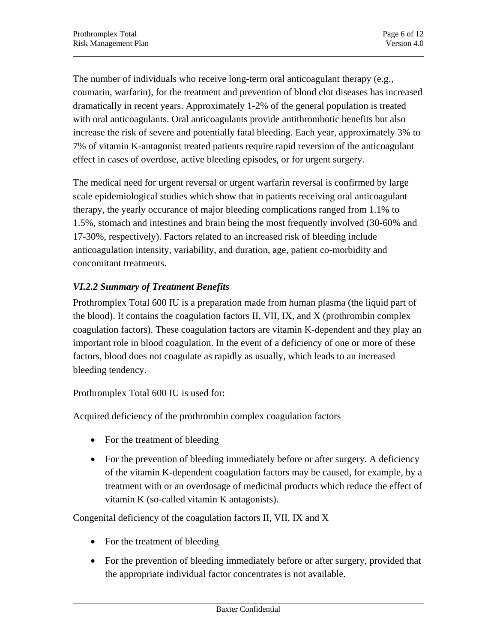The number of individuals who receive long-term oral anticoagulant therapy (e.g., coumarin, warfarin), for the treatment and prevention of blood clot diseases has increased dramatically in recent years. Approximately 1-2% of the general population is treated with oral anticoagulants. Oral anticoagulants provide antithrombotic benefits but also increase the risk of severe and potentially fatal bleeding. Each year, approximately 3% to 7% of vitamin K-antagonist treated patients require rapid reversion of the anticoagulant effect in cases of overdose, active bleeding episodes, or for urgent surgery.

The medical need for urgent reversal or urgent warfarin reversal is confirmed by large scale epidemiological studies which show that in patients receiving oral anticoagulant therapy, the yearly occurance of major bleeding complications ranged from 1.1% to 1.5%, stomach and intestines and brain being the most frequently involved (30-60% and 17-30%, respectively). Factors related to an increased risk of bleeding include anticoagulation intensity, variability, and duration, age, patient co-morbidity and concomitant treatments.

# *VI.2.2 Summary of Treatment Benefits*

Prothromplex Total 600 IU is a preparation made from human plasma (the liquid part of the blood). It contains the coagulation factors II, VII, IX, and X (prothrombin complex coagulation factors). These coagulation factors are vitamin K-dependent and they play an important role in blood coagulation. In the event of a deficiency of one or more of these factors, blood does not coagulate as rapidly as usually, which leads to an increased bleeding tendency.

Prothromplex Total 600 IU is used for:

Acquired deficiency of the prothrombin complex coagulation factors

- For the treatment of bleeding
- For the prevention of bleeding immediately before or after surgery. A deficiency of the vitamin K-dependent coagulation factors may be caused, for example, by a treatment with or an overdosage of medicinal products which reduce the effect of vitamin K (so-called vitamin K antagonists).

Congenital deficiency of the coagulation factors II, VII, IX and X

- For the treatment of bleeding
- For the prevention of bleeding immediately before or after surgery, provided that the appropriate individual factor concentrates is not available.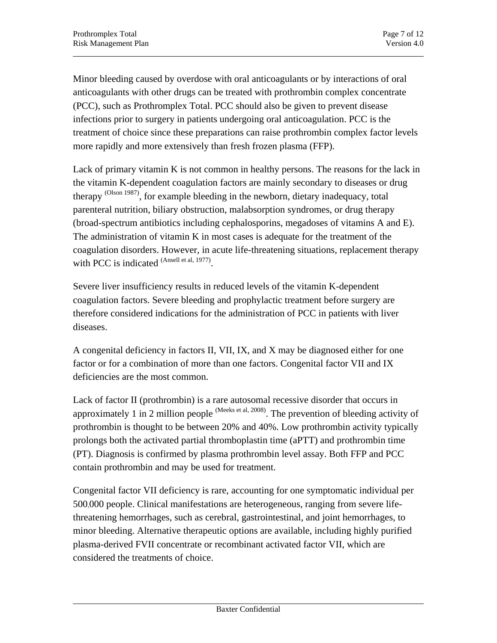Minor bleeding caused by overdose with oral anticoagulants or by interactions of oral anticoagulants with other drugs can be treated with prothrombin complex concentrate (PCC), such as Prothromplex Total. PCC should also be given to prevent disease infections prior to surgery in patients undergoing oral anticoagulation. PCC is the treatment of choice since these preparations can raise prothrombin complex factor levels more rapidly and more extensively than fresh frozen plasma (FFP).

Lack of primary vitamin K is not common in healthy persons. The reasons for the lack in the vitamin K-dependent coagulation factors are mainly secondary to diseases or drug therapy (Olson 1987), for example bleeding in the newborn, dietary inadequacy, total parenteral nutrition, biliary obstruction, malabsorption syndromes, or drug therapy (broad-spectrum antibiotics including cephalosporins, megadoses of vitamins A and E). The administration of vitamin K in most cases is adequate for the treatment of the coagulation disorders. However, in acute life-threatening situations, replacement therapy with PCC is indicated (Ansell et al, 1977).

Severe liver insufficiency results in reduced levels of the vitamin K-dependent coagulation factors. Severe bleeding and prophylactic treatment before surgery are therefore considered indications for the administration of PCC in patients with liver diseases.

A congenital deficiency in factors II, VII, IX, and X may be diagnosed either for one factor or for a combination of more than one factors. Congenital factor VII and IX deficiencies are the most common.

Lack of factor II (prothrombin) is a rare autosomal recessive disorder that occurs in approximately 1 in 2 million people  $^{(Meeks et al, 2008)}$ . The prevention of bleeding activity of prothrombin is thought to be between 20% and 40%. Low prothrombin activity typically prolongs both the activated partial thromboplastin time (aPTT) and prothrombin time (PT). Diagnosis is confirmed by plasma prothrombin level assay. Both FFP and PCC contain prothrombin and may be used for treatment.

Congenital factor VII deficiency is rare, accounting for one symptomatic individual per 500,000 people. Clinical manifestations are heterogeneous, ranging from severe lifethreatening hemorrhages, such as cerebral, gastrointestinal, and joint hemorrhages, to minor bleeding. Alternative therapeutic options are available, including highly purified plasma-derived FVII concentrate or recombinant activated factor VII, which are considered the treatments of choice.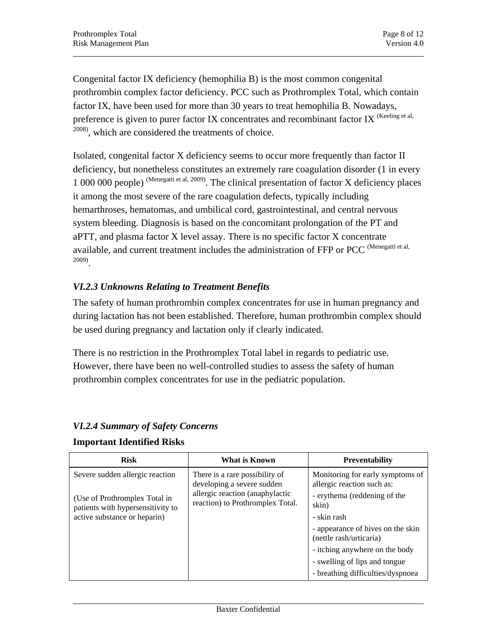Congenital factor IX deficiency (hemophilia B) is the most common congenital prothrombin complex factor deficiency. PCC such as Prothromplex Total, which contain factor IX, have been used for more than 30 years to treat hemophilia B. Nowadays, preference is given to purer factor IX concentrates and recombinant factor IX (Keeling et al, 2008), which are considered the treatments of choice.

Isolated, congenital factor X deficiency seems to occur more frequently than factor II deficiency, but nonetheless constitutes an extremely rare coagulation disorder (1 in every 1 000 000 people) (Menegatti et al, 2009). The clinical presentation of factor X deficiency places it among the most severe of the rare coagulation defects, typically including hemarthroses, hematomas, and umbilical cord, gastrointestinal, and central nervous system bleeding. Diagnosis is based on the concomitant prolongation of the PT and aPTT, and plasma factor X level assay. There is no specific factor X concentrate available, and current treatment includes the administration of FFP or PCC (Menegatti et al, 2009).

## *VI.2.3 Unknowns Relating to Treatment Benefits*

The safety of human prothrombin complex concentrates for use in human pregnancy and during lactation has not been established. Therefore, human prothrombin complex should be used during pregnancy and lactation only if clearly indicated.

There is no restriction in the Prothromplex Total label in regards to pediatric use. However, there have been no well-controlled studies to assess the safety of human prothrombin complex concentrates for use in the pediatric population.

| <b>Risk</b>                                                                                                                           | What is Known                                                                                                                       | <b>Preventability</b>                                                                                                                                                |
|---------------------------------------------------------------------------------------------------------------------------------------|-------------------------------------------------------------------------------------------------------------------------------------|----------------------------------------------------------------------------------------------------------------------------------------------------------------------|
| Severe sudden allergic reaction<br>(Use of Prothromplex Total in<br>patients with hypersensitivity to<br>active substance or heparin) | There is a rare possibility of<br>developing a severe sudden<br>allergic reaction (anaphylactic<br>reaction) to Prothromplex Total. | Monitoring for early symptoms of<br>allergic reaction such as:<br>- erythema (reddening of the<br>skin)<br>- skin rash                                               |
|                                                                                                                                       |                                                                                                                                     | - appearance of hives on the skin<br>(nettle rash/urticaria)<br>- itching anywhere on the body<br>- swelling of lips and tongue<br>- breathing difficulties/dyspnoea |

#### *VI.2.4 Summary of Safety Concerns*

#### **Important Identified Risks**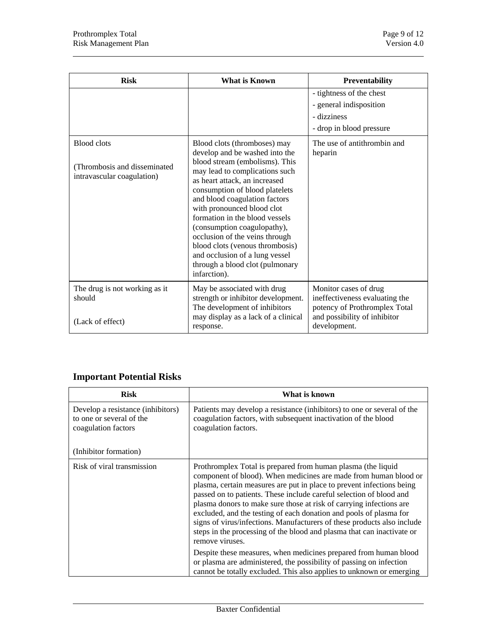| <b>Risk</b>                                                                       | <b>What is Known</b>                                                                                                                                                                                                                                                                                                                                                                                                                                                                            | Preventability                                                                                                                           |
|-----------------------------------------------------------------------------------|-------------------------------------------------------------------------------------------------------------------------------------------------------------------------------------------------------------------------------------------------------------------------------------------------------------------------------------------------------------------------------------------------------------------------------------------------------------------------------------------------|------------------------------------------------------------------------------------------------------------------------------------------|
|                                                                                   |                                                                                                                                                                                                                                                                                                                                                                                                                                                                                                 | - tightness of the chest<br>- general indisposition<br>- dizziness<br>- drop in blood pressure                                           |
| <b>Blood clots</b><br>(Thrombosis and disseminated)<br>intravascular coagulation) | Blood clots (thromboses) may<br>develop and be washed into the<br>blood stream (embolisms). This<br>may lead to complications such<br>as heart attack, an increased<br>consumption of blood platelets<br>and blood coagulation factors<br>with pronounced blood clot<br>formation in the blood vessels<br>(consumption coagulopathy),<br>occlusion of the veins through<br>blood clots (venous thrombosis)<br>and occlusion of a lung vessel<br>through a blood clot (pulmonary<br>infarction). | The use of antithrombin and<br>heparin                                                                                                   |
| The drug is not working as it<br>should<br>(Lack of effect)                       | May be associated with drug<br>strength or inhibitor development.<br>The development of inhibitors<br>may display as a lack of a clinical<br>response.                                                                                                                                                                                                                                                                                                                                          | Monitor cases of drug<br>ineffectiveness evaluating the<br>potency of Prothromplex Total<br>and possibility of inhibitor<br>development. |

# **Important Potential Risks**

| <b>Risk</b>                                                                          | What is known                                                                                                                                                                                                                                                                                                                                                                                                                                                                                                                                                                                                                                                                                                                                    |
|--------------------------------------------------------------------------------------|--------------------------------------------------------------------------------------------------------------------------------------------------------------------------------------------------------------------------------------------------------------------------------------------------------------------------------------------------------------------------------------------------------------------------------------------------------------------------------------------------------------------------------------------------------------------------------------------------------------------------------------------------------------------------------------------------------------------------------------------------|
| Develop a resistance (inhibitors)<br>to one or several of the<br>coagulation factors | Patients may develop a resistance (inhibitors) to one or several of the<br>coagulation factors, with subsequent inactivation of the blood<br>coagulation factors.                                                                                                                                                                                                                                                                                                                                                                                                                                                                                                                                                                                |
| (Inhibitor formation)                                                                |                                                                                                                                                                                                                                                                                                                                                                                                                                                                                                                                                                                                                                                                                                                                                  |
| Risk of viral transmission                                                           | Prothromplex Total is prepared from human plasma (the liquid<br>component of blood). When medicines are made from human blood or<br>plasma, certain measures are put in place to prevent infections being<br>passed on to patients. These include careful selection of blood and<br>plasma donors to make sure those at risk of carrying infections are<br>excluded, and the testing of each donation and pools of plasma for<br>signs of virus/infections. Manufacturers of these products also include<br>steps in the processing of the blood and plasma that can inactivate or<br>remove viruses.<br>Despite these measures, when medicines prepared from human blood<br>or plasma are administered, the possibility of passing on infection |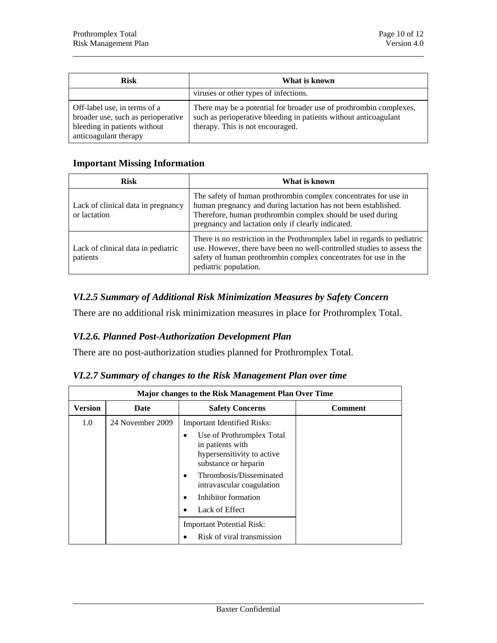| <b>Risk</b>                                                                                                                 | What is known                                                                                                                                                              |
|-----------------------------------------------------------------------------------------------------------------------------|----------------------------------------------------------------------------------------------------------------------------------------------------------------------------|
|                                                                                                                             | viruses or other types of infections.                                                                                                                                      |
| Off-label use, in terms of a<br>broader use, such as perioperative<br>bleeding in patients without<br>anticoagulant therapy | There may be a potential for broader use of prothrombin complexes,<br>such as perioperative bleeding in patients without anticoagulant<br>therapy. This is not encouraged. |

#### **Important Missing Information**

| <b>Risk</b>                                                                                                                                                                                                                                                                                       | What is known                                                                                                                                                                                                                                         |
|---------------------------------------------------------------------------------------------------------------------------------------------------------------------------------------------------------------------------------------------------------------------------------------------------|-------------------------------------------------------------------------------------------------------------------------------------------------------------------------------------------------------------------------------------------------------|
| Lack of clinical data in pregnancy<br>or lactation                                                                                                                                                                                                                                                | The safety of human prothrombin complex concentrates for use in<br>human pregnancy and during lactation has not been established.<br>Therefore, human prothrombin complex should be used during<br>pregnancy and lactation only if clearly indicated. |
| There is no restriction in the Prothromplex label in regards to pediatric<br>use. However, there have been no well-controlled studies to assess the<br>Lack of clinical data in pediatric<br>safety of human prothrombin complex concentrates for use in the<br>patients<br>pediatric population. |                                                                                                                                                                                                                                                       |

## *VI.2.5 Summary of Additional Risk Minimization Measures by Safety Concern*

There are no additional risk minimization measures in place for Prothromplex Total.

# *VI.2.6. Planned Post-Authorization Development Plan*

There are no post-authorization studies planned for Prothromplex Total.

|  |  | VI.2.7 Summary of changes to the Risk Management Plan over time |  |
|--|--|-----------------------------------------------------------------|--|
|  |  |                                                                 |  |

| Major changes to the Risk Management Plan Over Time |                  |                                                                                                                                                                                                                                                                   |                |  |
|-----------------------------------------------------|------------------|-------------------------------------------------------------------------------------------------------------------------------------------------------------------------------------------------------------------------------------------------------------------|----------------|--|
| <b>Version</b>                                      | Date             | <b>Safety Concerns</b>                                                                                                                                                                                                                                            | <b>Comment</b> |  |
| 1.0                                                 | 24 November 2009 | <b>Important Identified Risks:</b><br>Use of Prothromplex Total<br>٠<br>in patients with<br>hypersensitivity to active<br>substance or heparin<br>Thrombosis/Disseminated<br>٠<br>intravascular coagulation<br>Inhibitor formation<br>$\bullet$<br>Lack of Effect |                |  |
|                                                     |                  | <b>Important Potential Risk:</b><br>Risk of viral transmission                                                                                                                                                                                                    |                |  |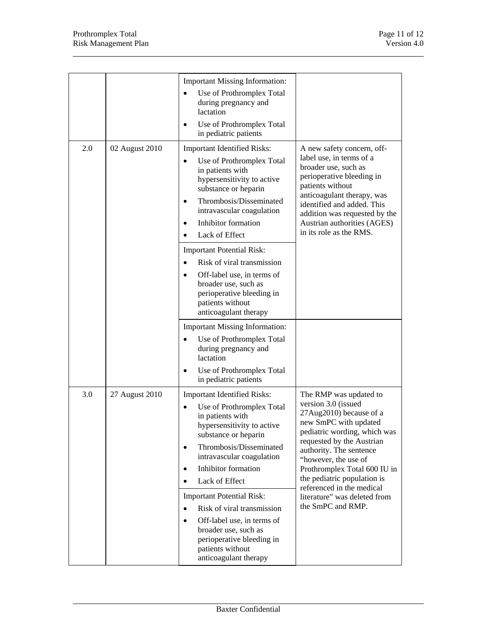|     |                | <b>Important Missing Information:</b><br>Use of Prothromplex Total<br>$\bullet$                                                                                                                                                                                                                                                                                                                           |                                                                                                                                                                                                                                                                                                                                               |
|-----|----------------|-----------------------------------------------------------------------------------------------------------------------------------------------------------------------------------------------------------------------------------------------------------------------------------------------------------------------------------------------------------------------------------------------------------|-----------------------------------------------------------------------------------------------------------------------------------------------------------------------------------------------------------------------------------------------------------------------------------------------------------------------------------------------|
|     |                | during pregnancy and<br>lactation                                                                                                                                                                                                                                                                                                                                                                         |                                                                                                                                                                                                                                                                                                                                               |
|     |                | Use of Prothromplex Total<br>$\bullet$<br>in pediatric patients                                                                                                                                                                                                                                                                                                                                           |                                                                                                                                                                                                                                                                                                                                               |
| 2.0 | 02 August 2010 | <b>Important Identified Risks:</b><br>Use of Prothromplex Total<br>in patients with<br>hypersensitivity to active<br>substance or heparin<br>Thrombosis/Disseminated<br>$\bullet$<br>intravascular coagulation<br>Inhibitor formation<br>$\bullet$<br>Lack of Effect<br><b>Important Potential Risk:</b><br>Risk of viral transmission<br>Off-label use, in terms of<br>$\bullet$<br>broader use, such as | A new safety concern, off-<br>label use, in terms of a<br>broader use, such as<br>perioperative bleeding in<br>patients without<br>anticoagulant therapy, was<br>identified and added. This<br>addition was requested by the<br>Austrian authorities (AGES)<br>in its role as the RMS.                                                        |
|     |                | perioperative bleeding in<br>patients without<br>anticoagulant therapy<br><b>Important Missing Information:</b><br>Use of Prothromplex Total<br>$\bullet$<br>during pregnancy and                                                                                                                                                                                                                         |                                                                                                                                                                                                                                                                                                                                               |
|     |                | lactation<br>Use of Prothromplex Total<br>in pediatric patients                                                                                                                                                                                                                                                                                                                                           |                                                                                                                                                                                                                                                                                                                                               |
| 3.0 | 27 August 2010 | <b>Important Identified Risks:</b><br>Use of Prothromplex Total<br>$\bullet$<br>in patients with<br>hypersensitivity to active<br>substance or heparin<br>Thrombosis/Disseminated<br>$\bullet$<br>intravascular coagulation<br>Inhibitor formation<br>$\bullet$<br>Lack of Effect<br>$\bullet$<br><b>Important Potential Risk:</b>                                                                        | The RMP was updated to<br>version 3.0 (issued<br>27Aug2010) because of a<br>new SmPC with updated<br>pediatric wording, which was<br>requested by the Austrian<br>authority. The sentence<br>"however, the use of<br>Prothromplex Total 600 IU in<br>the pediatric population is<br>referenced in the medical<br>literature" was deleted from |
|     |                | Risk of viral transmission<br>$\bullet$<br>Off-label use, in terms of<br>$\bullet$<br>broader use, such as<br>perioperative bleeding in<br>patients without<br>anticoagulant therapy                                                                                                                                                                                                                      | the SmPC and RMP.                                                                                                                                                                                                                                                                                                                             |